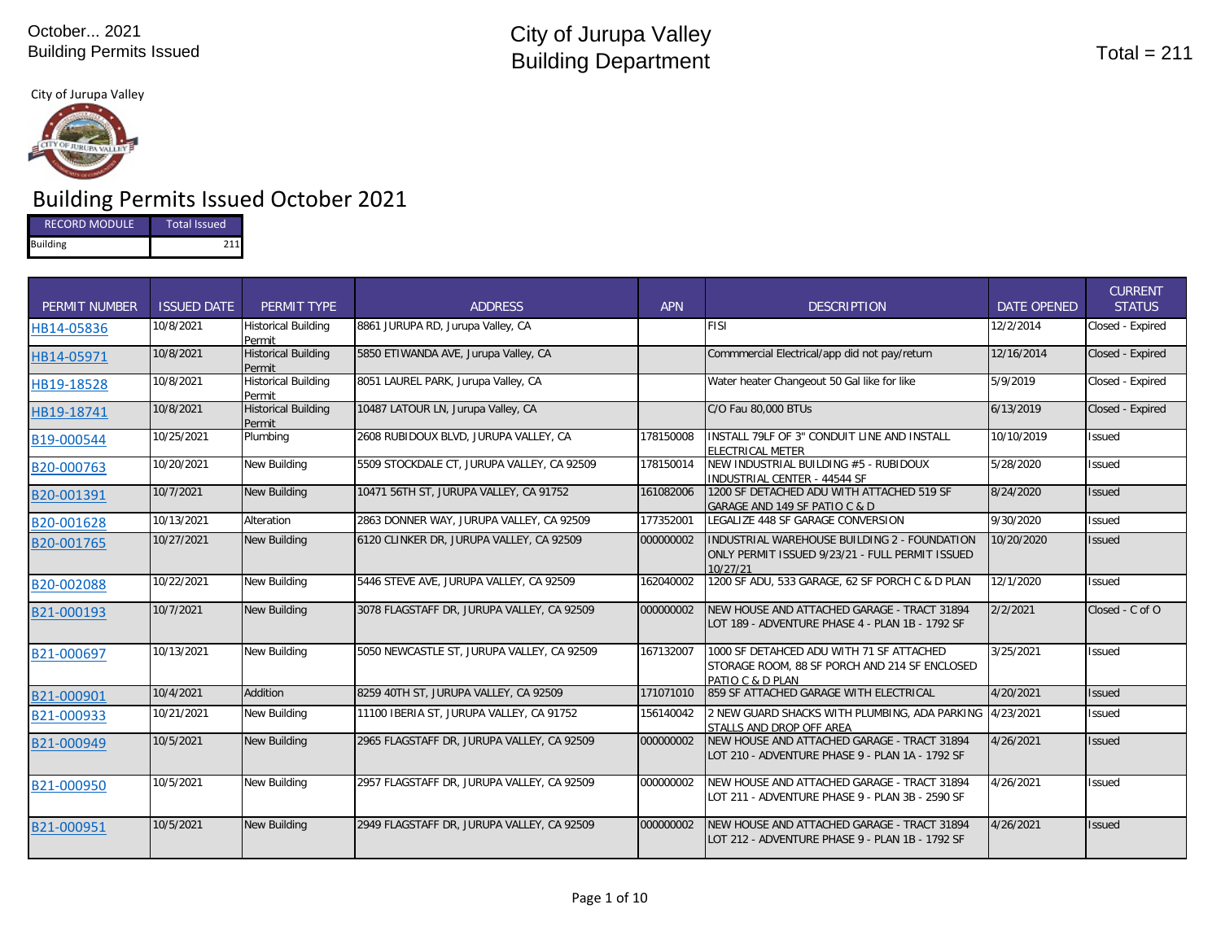#### City of Jurupa Valley



# Building Permits Issued October 2021

| <b>RECORD MODULE</b> | Total Issued |
|----------------------|--------------|
| <b>Building</b>      | 711          |

| <b>PERMIT NUMBER</b> | <b>ISSUED DATE</b> | <b>PERMIT TYPE</b>                   | <b>ADDRESS</b>                             | <b>APN</b> | <b>DESCRIPTION</b>                                                                                            | <b>DATE OPENED</b> | <b>CURRENT</b><br><b>STATUS</b> |
|----------------------|--------------------|--------------------------------------|--------------------------------------------|------------|---------------------------------------------------------------------------------------------------------------|--------------------|---------------------------------|
| HB14-05836           | 10/8/2021          | <b>Historical Building</b><br>Permit | 8861 JURUPA RD, Jurupa Valley, CA          |            | <b>FISI</b>                                                                                                   | 12/2/2014          | Closed - Expired                |
| HB14-05971           | 10/8/2021          | <b>Historical Building</b><br>Permit | 5850 ETIWANDA AVE, Jurupa Valley, CA       |            | Commmercial Electrical/app did not pay/return                                                                 | 12/16/2014         | Closed - Expired                |
| HB19-18528           | 10/8/2021          | <b>Historical Building</b><br>Permit | 8051 LAUREL PARK, Jurupa Valley, CA        |            | Water heater Changeout 50 Gal like for like                                                                   | 5/9/2019           | Closed - Expired                |
| HB19-18741           | 10/8/2021          | <b>Historical Building</b><br>Permit | 10487 LATOUR LN, Jurupa Valley, CA         |            | C/O Fau 80,000 BTUs                                                                                           | 6/13/2019          | Closed - Expired                |
| B19-000544           | 10/25/2021         | Plumbing                             | 2608 RUBIDOUX BLVD, JURUPA VALLEY, CA      | 178150008  | INSTALL 79LF OF 3" CONDUIT LINE AND INSTALL<br>ELECTRICAL METER                                               | 10/10/2019         | <b>Issued</b>                   |
| B20-000763           | 10/20/2021         | New Building                         | 5509 STOCKDALE CT, JURUPA VALLEY, CA 92509 | 178150014  | NEW INDUSTRIAL BUILDING #5 - RUBIDOUX<br><b>INDUSTRIAL CENTER - 44544 SF</b>                                  | 5/28/2020          | <b>Issued</b>                   |
| B20-001391           | 10/7/2021          | <b>New Building</b>                  | 10471 56TH ST, JURUPA VALLEY, CA 91752     | 161082006  | 1200 SF DETACHED ADU WITH ATTACHED 519 SF<br>GARAGE AND 149 SF PATIO C & D                                    | 8/24/2020          | <b>Issued</b>                   |
| B20-001628           | 10/13/2021         | Alteration                           | 2863 DONNER WAY, JURUPA VALLEY, CA 92509   | 177352001  | LEGALIZE 448 SF GARAGE CONVERSION                                                                             | 9/30/2020          | <b>Issued</b>                   |
| B20-001765           | 10/27/2021         | <b>New Building</b>                  | 6120 CLINKER DR, JURUPA VALLEY, CA 92509   | 000000002  | INDUSTRIAL WAREHOUSE BUILDING 2 - FOUNDATION<br>ONLY PERMIT ISSUED 9/23/21 - FULL PERMIT ISSUED<br>10/27/21   | 10/20/2020         | <b>Issued</b>                   |
| B20-002088           | 10/22/2021         | <b>New Building</b>                  | 5446 STEVE AVE, JURUPA VALLEY, CA 92509    | 162040002  | 1200 SF ADU, 533 GARAGE, 62 SF PORCH C & D PLAN                                                               | 12/1/2020          | <b>Issued</b>                   |
| B21-000193           | 10/7/2021          | <b>New Building</b>                  | 3078 FLAGSTAFF DR, JURUPA VALLEY, CA 92509 | 000000002  | NEW HOUSE AND ATTACHED GARAGE - TRACT 31894<br>LOT 189 - ADVENTURE PHASE 4 - PLAN 1B - 1792 SF                | 2/2/2021           | Closed - C of O                 |
| B21-000697           | 10/13/2021         | New Building                         | 5050 NEWCASTLE ST, JURUPA VALLEY, CA 92509 | 167132007  | 1000 SF DETAHCED ADU WITH 71 SF ATTACHED<br>STORAGE ROOM, 88 SF PORCH AND 214 SF ENCLOSED<br>PATIO C & D PLAN | 3/25/2021          | <b>Issued</b>                   |
| B21-000901           | 10/4/2021          | Addition                             | 8259 40TH ST, JURUPA VALLEY, CA 92509      | 171071010  | 859 SF ATTACHED GARAGE WITH ELECTRICAL                                                                        | 4/20/2021          | <b>Issued</b>                   |
| B21-000933           | 10/21/2021         | <b>New Building</b>                  | 11100 IBERIA ST, JURUPA VALLEY, CA 91752   | 156140042  | 2 NEW GUARD SHACKS WITH PLUMBING, ADA PARKING 4/23/2021<br>STALLS AND DROP OFF AREA                           |                    | <b>Issued</b>                   |
| B21-000949           | 10/5/2021          | <b>New Building</b>                  | 2965 FLAGSTAFF DR, JURUPA VALLEY, CA 92509 | 000000002  | NEW HOUSE AND ATTACHED GARAGE - TRACT 31894<br>LOT 210 - ADVENTURE PHASE 9 - PLAN 1A - 1792 SF                | 4/26/2021          | <b>Issued</b>                   |
| B21-000950           | 10/5/2021          | <b>New Building</b>                  | 2957 FLAGSTAFF DR, JURUPA VALLEY, CA 92509 | 000000002  | NEW HOUSE AND ATTACHED GARAGE - TRACT 31894<br>LOT 211 - ADVENTURE PHASE 9 - PLAN 3B - 2590 SF                | 4/26/2021          | Issued                          |
| B21-000951           | 10/5/2021          | <b>New Building</b>                  | 2949 FLAGSTAFF DR, JURUPA VALLEY, CA 92509 | 000000002  | NEW HOUSE AND ATTACHED GARAGE - TRACT 31894<br>LOT 212 - ADVENTURE PHASE 9 - PLAN 1B - 1792 SF                | 4/26/2021          | <b>Issued</b>                   |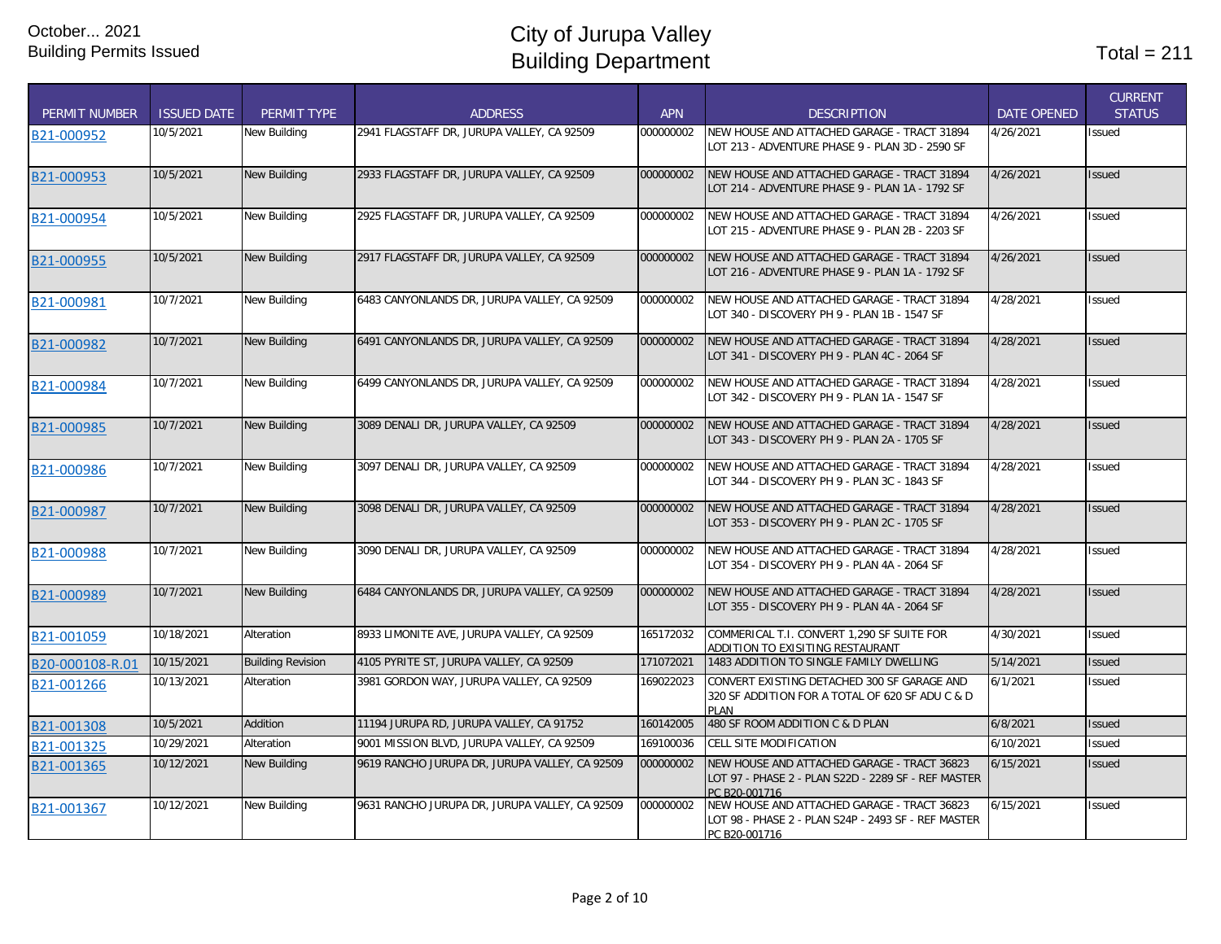| <b>PERMIT NUMBER</b> | <b>ISSUED DATE</b> | PERMIT TYPE              | <b>ADDRESS</b>                                 | <b>APN</b> | <b>DESCRIPTION</b>                                                                                                  | <b>DATE OPENED</b> | <b>CURRENT</b><br><b>STATUS</b> |
|----------------------|--------------------|--------------------------|------------------------------------------------|------------|---------------------------------------------------------------------------------------------------------------------|--------------------|---------------------------------|
| B21-000952           | 10/5/2021          | New Building             | 2941 FLAGSTAFF DR. JURUPA VALLEY. CA 92509     | 000000002  | NEW HOUSE AND ATTACHED GARAGE - TRACT 31894<br>LOT 213 - ADVENTURE PHASE 9 - PLAN 3D - 2590 SF                      | 4/26/2021          | <b>Issued</b>                   |
| B21-000953           | 10/5/2021          | <b>New Building</b>      | 2933 FLAGSTAFF DR, JURUPA VALLEY, CA 92509     | 000000002  | NEW HOUSE AND ATTACHED GARAGE - TRACT 31894<br>LOT 214 - ADVENTURE PHASE 9 - PLAN 1A - 1792 SF                      | 4/26/2021          | <b>Issued</b>                   |
| B21-000954           | 10/5/2021          | New Building             | 2925 FLAGSTAFF DR, JURUPA VALLEY, CA 92509     | 000000002  | NEW HOUSE AND ATTACHED GARAGE - TRACT 31894<br>LOT 215 - ADVENTURE PHASE 9 - PLAN 2B - 2203 SF                      | 4/26/2021          | <b>Issued</b>                   |
| B21-000955           | 10/5/2021          | New Building             | 2917 FLAGSTAFF DR, JURUPA VALLEY, CA 92509     | 000000002  | NEW HOUSE AND ATTACHED GARAGE - TRACT 31894<br>LOT 216 - ADVENTURE PHASE 9 - PLAN 1A - 1792 SF                      | 4/26/2021          | <b>Issued</b>                   |
| B21-000981           | 10/7/2021          | New Building             | 6483 CANYONLANDS DR, JURUPA VALLEY, CA 92509   | 000000002  | NEW HOUSE AND ATTACHED GARAGE - TRACT 31894<br>LOT 340 - DISCOVERY PH 9 - PLAN 1B - 1547 SF                         | 4/28/2021          | <b>Issued</b>                   |
| B21-000982           | 10/7/2021          | <b>New Building</b>      | 6491 CANYONLANDS DR, JURUPA VALLEY, CA 92509   | 000000002  | NEW HOUSE AND ATTACHED GARAGE - TRACT 31894<br>LOT 341 - DISCOVERY PH 9 - PLAN 4C - 2064 SF                         | 4/28/2021          | <b>Issued</b>                   |
| B21-000984           | 10/7/2021          | New Building             | 6499 CANYONLANDS DR, JURUPA VALLEY, CA 92509   | 000000002  | NEW HOUSE AND ATTACHED GARAGE - TRACT 31894<br>LOT 342 - DISCOVERY PH 9 - PLAN 1A - 1547 SF                         | 4/28/2021          | Issued                          |
| B21-000985           | 10/7/2021          | <b>New Building</b>      | 3089 DENALI DR, JURUPA VALLEY, CA 92509        | 000000002  | NEW HOUSE AND ATTACHED GARAGE - TRACT 31894<br>LOT 343 - DISCOVERY PH 9 - PLAN 2A - 1705 SF                         | 4/28/2021          | <b>Issued</b>                   |
| B21-000986           | 10/7/2021          | New Building             | 3097 DENALI DR, JURUPA VALLEY, CA 92509        | 000000002  | NEW HOUSE AND ATTACHED GARAGE - TRACT 31894<br>LOT 344 - DISCOVERY PH 9 - PLAN 3C - 1843 SF                         | 4/28/2021          | Issued                          |
| B21-000987           | 10/7/2021          | <b>New Building</b>      | 3098 DENALI DR, JURUPA VALLEY, CA 92509        | 000000002  | NEW HOUSE AND ATTACHED GARAGE - TRACT 31894<br>LOT 353 - DISCOVERY PH 9 - PLAN 2C - 1705 SF                         | 4/28/2021          | <b>Issued</b>                   |
| B21-000988           | 10/7/2021          | New Building             | 3090 DENALI DR, JURUPA VALLEY, CA 92509        | 000000002  | NEW HOUSE AND ATTACHED GARAGE - TRACT 31894<br>LOT 354 - DISCOVERY PH 9 - PLAN 4A - 2064 SF                         | 4/28/2021          | Issued                          |
| B21-000989           | 10/7/2021          | <b>New Building</b>      | 6484 CANYONLANDS DR, JURUPA VALLEY, CA 92509   | 000000002  | NEW HOUSE AND ATTACHED GARAGE - TRACT 31894<br>LOT 355 - DISCOVERY PH 9 - PLAN 4A - 2064 SF                         | 4/28/2021          | <b>Issued</b>                   |
| B21-001059           | 10/18/2021         | Alteration               | 8933 LIMONITE AVE, JURUPA VALLEY, CA 92509     | 165172032  | COMMERICAL T.I. CONVERT 1,290 SF SUITE FOR<br>ADDITION TO EXISITING RESTAURANT                                      | 4/30/2021          | <b>Issued</b>                   |
| B20-000108-R.01      | 10/15/2021         | <b>Building Revision</b> | 4105 PYRITE ST, JURUPA VALLEY, CA 92509        | 171072021  | 1483 ADDITION TO SINGLE FAMILY DWELLING                                                                             | 5/14/2021          | <b>Issued</b>                   |
| B21-001266           | 10/13/2021         | Alteration               | 3981 GORDON WAY, JURUPA VALLEY, CA 92509       | 169022023  | CONVERT EXISTING DETACHED 300 SF GARAGE AND<br>320 SF ADDITION FOR A TOTAL OF 620 SF ADU C & D<br>PLAN              | 6/1/2021           | Issued                          |
| B21-001308           | 10/5/2021          | Addition                 | 11194 JURUPA RD, JURUPA VALLEY, CA 91752       | 160142005  | 480 SF ROOM ADDITION C & D PLAN                                                                                     | 6/8/2021           | <b>Issued</b>                   |
| B21-001325           | 10/29/2021         | Alteration               | 9001 MISSION BLVD, JURUPA VALLEY, CA 92509     | 169100036  | CELL SITE MODIFICATION                                                                                              | 6/10/2021          | Issued                          |
| B21-001365           | 10/12/2021         | <b>New Building</b>      | 9619 RANCHO JURUPA DR, JURUPA VALLEY, CA 92509 | 000000002  | NEW HOUSE AND ATTACHED GARAGE - TRACT 36823<br>LOT 97 - PHASE 2 - PLAN S22D - 2289 SF - REF MASTER<br>PC B20-001716 | 6/15/2021          | <b>Issued</b>                   |
| B21-001367           | 10/12/2021         | New Building             | 9631 RANCHO JURUPA DR, JURUPA VALLEY, CA 92509 | 000000002  | NEW HOUSE AND ATTACHED GARAGE - TRACT 36823<br>LOT 98 - PHASE 2 - PLAN S24P - 2493 SF - REF MASTER<br>PC B20-001716 | 6/15/2021          | Issued                          |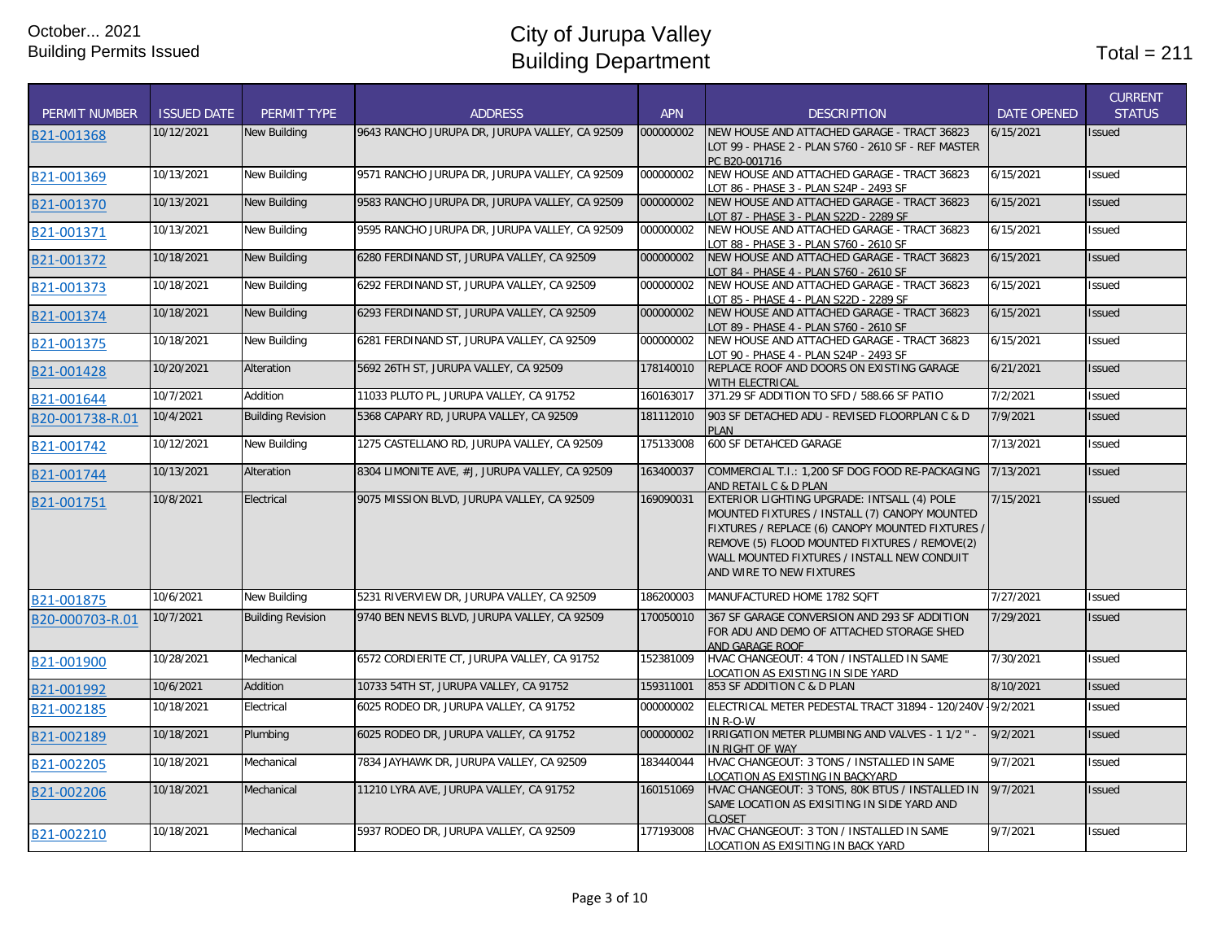|                      |                    |                          |                                                |            |                                                                                                                                                                                                                                                                              |                    | <b>CURRENT</b> |
|----------------------|--------------------|--------------------------|------------------------------------------------|------------|------------------------------------------------------------------------------------------------------------------------------------------------------------------------------------------------------------------------------------------------------------------------------|--------------------|----------------|
| <b>PERMIT NUMBER</b> | <b>ISSUED DATE</b> | PERMIT TYPE              | <b>ADDRESS</b>                                 | <b>APN</b> | <b>DESCRIPTION</b>                                                                                                                                                                                                                                                           | <b>DATE OPENED</b> | <b>STATUS</b>  |
| B21-001368           | 10/12/2021         | <b>New Building</b>      | 9643 RANCHO JURUPA DR, JURUPA VALLEY, CA 92509 | 000000002  | NEW HOUSE AND ATTACHED GARAGE - TRACT 36823<br>LOT 99 - PHASE 2 - PLAN S760 - 2610 SF - REF MASTER<br>PC B20-001716                                                                                                                                                          | 6/15/2021          | Issued         |
| B21-001369           | 10/13/2021         | New Building             | 9571 RANCHO JURUPA DR, JURUPA VALLEY, CA 92509 | 000000002  | NEW HOUSE AND ATTACHED GARAGE - TRACT 36823<br>LOT 86 - PHASE 3 - PLAN S24P - 2493 SF                                                                                                                                                                                        | 6/15/2021          | Issued         |
| B21-001370           | 10/13/2021         | New Building             | 9583 RANCHO JURUPA DR, JURUPA VALLEY, CA 92509 | 000000002  | NEW HOUSE AND ATTACHED GARAGE - TRACT 36823<br>LOT 87 - PHASE 3 - PLAN S22D - 2289 SF                                                                                                                                                                                        | 6/15/2021          | <b>Issued</b>  |
| B21-001371           | 10/13/2021         | <b>New Building</b>      | 9595 RANCHO JURUPA DR, JURUPA VALLEY, CA 92509 | 000000002  | NEW HOUSE AND ATTACHED GARAGE - TRACT 36823                                                                                                                                                                                                                                  | 6/15/2021          | Issued         |
| B21-001372           | 10/18/2021         | <b>New Building</b>      | 6280 FERDINAND ST, JURUPA VALLEY, CA 92509     | 000000002  | NEW HOUSE AND ATTACHED GARAGE - TRACT 36823<br>OT 84 - PHASE 4 - PLAN S760 - 2610 SF                                                                                                                                                                                         | 6/15/2021          | Issued         |
| B21-001373           | 10/18/2021         | New Building             | 6292 FERDINAND ST, JURUPA VALLEY, CA 92509     | 000000002  | NEW HOUSE AND ATTACHED GARAGE - TRACT 36823<br>LOT 85 - PHASE 4 - PLAN S22D - 2289 SF                                                                                                                                                                                        | 6/15/2021          | <b>Issued</b>  |
| B21-001374           | 10/18/2021         | New Building             | 6293 FERDINAND ST, JURUPA VALLEY, CA 92509     | 000000002  | NEW HOUSE AND ATTACHED GARAGE - TRACT 36823<br>LOT 89 - PHASE 4 - PLAN S760 - 2610 SF                                                                                                                                                                                        | 6/15/2021          | <b>Issued</b>  |
| B21-001375           | 10/18/2021         | New Building             | 6281 FERDINAND ST, JURUPA VALLEY, CA 92509     | 000000002  | NEW HOUSE AND ATTACHED GARAGE - TRACT 36823<br>LOT 90 - PHASE 4 - PLAN S24P - 2493 SF                                                                                                                                                                                        | 6/15/2021          | <b>Issued</b>  |
| B21-001428           | 10/20/2021         | Alteration               | 5692 26TH ST, JURUPA VALLEY, CA 92509          | 178140010  | REPLACE ROOF AND DOORS ON EXISTING GARAGE<br>WITH ELECTRICAL                                                                                                                                                                                                                 | 6/21/2021          | <b>Issued</b>  |
| B21-001644           | 10/7/2021          | Addition                 | 11033 PLUTO PL, JURUPA VALLEY, CA 91752        | 160163017  | 371.29 SF ADDITION TO SFD / 588.66 SF PATIO                                                                                                                                                                                                                                  | 7/2/2021           | Issued         |
| B20-001738-R.01      | 10/4/2021          | <b>Building Revision</b> | 5368 CAPARY RD, JURUPA VALLEY, CA 92509        | 181112010  | 903 SF DETACHED ADU - REVISED FLOORPLAN C & D<br><b>PLAN</b>                                                                                                                                                                                                                 | 7/9/2021           | <b>Issued</b>  |
| B21-001742           | 10/12/2021         | New Building             | 1275 CASTELLANO RD, JURUPA VALLEY, CA 92509    | 175133008  | 600 SF DETAHCED GARAGE                                                                                                                                                                                                                                                       | 7/13/2021          | <b>Issued</b>  |
| B21-001744           | 10/13/2021         | Alteration               | 8304 LIMONITE AVE, #J, JURUPA VALLEY, CA 92509 | 163400037  | COMMERCIAL T.I.: 1,200 SF DOG FOOD RE-PACKAGING<br>AND RETAIL C & D PLAN                                                                                                                                                                                                     | 7/13/2021          | Issued         |
| B21-001751           | 10/8/2021          | Electrical               | 9075 MISSION BLVD, JURUPA VALLEY, CA 92509     | 169090031  | EXTERIOR LIGHTING UPGRADE: INTSALL (4) POLE<br>MOUNTED FIXTURES / INSTALL (7) CANOPY MOUNTED<br>FIXTURES / REPLACE (6) CANOPY MOUNTED FIXTURES /<br>REMOVE (5) FLOOD MOUNTED FIXTURES / REMOVE(2)<br>WALL MOUNTED FIXTURES / INSTALL NEW CONDUIT<br>AND WIRE TO NEW FIXTURES | 7/15/2021          | <b>Issued</b>  |
| B21-001875           | 10/6/2021          | <b>New Building</b>      | 5231 RIVERVIEW DR, JURUPA VALLEY, CA 92509     | 186200003  | MANUFACTURED HOME 1782 SQFT                                                                                                                                                                                                                                                  | 7/27/2021          | Issued         |
| B20-000703-R.01      | 10/7/2021          | <b>Building Revision</b> | 9740 BEN NEVIS BLVD, JURUPA VALLEY, CA 92509   | 170050010  | 367 SF GARAGE CONVERSION AND 293 SF ADDITION<br>FOR ADU AND DEMO OF ATTACHED STORAGE SHED<br>AND GARAGE ROOF                                                                                                                                                                 | 7/29/2021          | <b>Issued</b>  |
| B21-001900           | 10/28/2021         | Mechanical               | 6572 CORDIERITE CT, JURUPA VALLEY, CA 91752    | 152381009  | HVAC CHANGEOUT: 4 TON / INSTALLED IN SAME<br>LOCATION AS EXISTING IN SIDE YARD                                                                                                                                                                                               | 7/30/2021          | <b>Issued</b>  |
| B21-001992           | 10/6/2021          | Addition                 | 10733 54TH ST, JURUPA VALLEY, CA 91752         | 159311001  | 853 SF ADDITION C & D PLAN                                                                                                                                                                                                                                                   | 8/10/2021          | <b>Issued</b>  |
| B21-002185           | 10/18/2021         | Electrical               | 6025 RODEO DR, JURUPA VALLEY, CA 91752         | 000000002  | ELECTRICAL METER PEDESTAL TRACT 31894 - 120/240V - 9/2/2021<br>IN R-O-W                                                                                                                                                                                                      |                    | Issued         |
| B21-002189           | 10/18/2021         | Plumbing                 | 6025 RODEO DR, JURUPA VALLEY, CA 91752         | 000000002  | IRRIGATION METER PLUMBING AND VALVES - 1 1/2 " -<br>IN RIGHT OF WAY                                                                                                                                                                                                          | 9/2/2021           | Issued         |
| B21-002205           | 10/18/2021         | Mechanical               | 7834 JAYHAWK DR, JURUPA VALLEY, CA 92509       | 183440044  | HVAC CHANGEOUT: 3 TONS / INSTALLED IN SAME<br>OCATION AS EXISTING IN BACKYARD                                                                                                                                                                                                | 9/7/2021           | Issued         |
| B21-002206           | 10/18/2021         | Mechanical               | 11210 LYRA AVE, JURUPA VALLEY, CA 91752        | 160151069  | HVAC CHANGEOUT: 3 TONS, 80K BTUS / INSTALLED IN<br>SAME LOCATION AS EXISITING IN SIDE YARD AND<br><b>CLOSET</b>                                                                                                                                                              | 9/7/2021           | Issued         |
| B21-002210           | 10/18/2021         | Mechanical               | 5937 RODEO DR, JURUPA VALLEY, CA 92509         | 177193008  | HVAC CHANGEOUT: 3 TON / INSTALLED IN SAME<br>LOCATION AS EXISITING IN BACK YARD                                                                                                                                                                                              | 9/7/2021           | Issued         |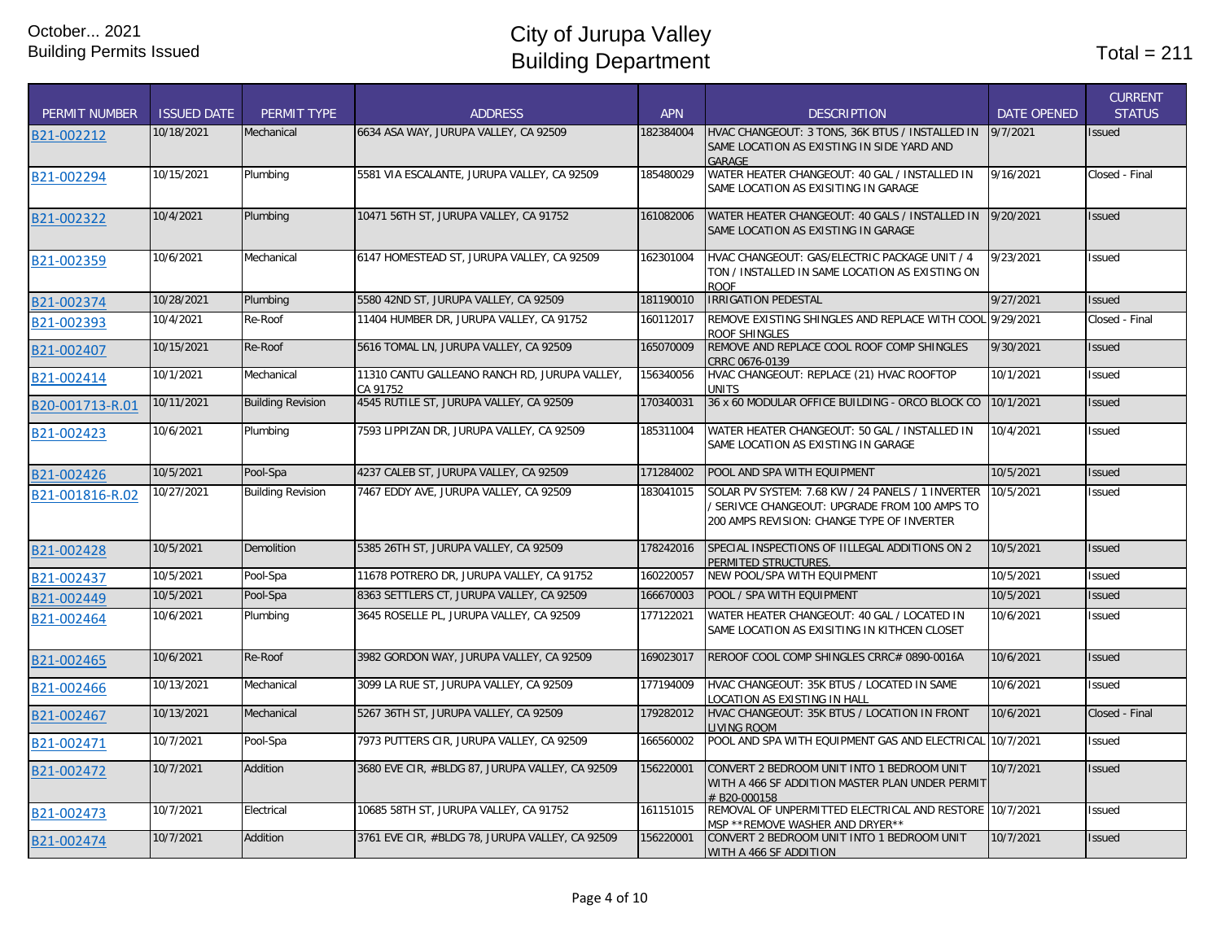| <b>PERMIT NUMBER</b> | <b>ISSUED DATE</b> | PERMIT TYPE              | <b>ADDRESS</b>                                            | <b>APN</b> | <b>DESCRIPTION</b>                                                                                                                             | <b>DATE OPENED</b> | <b>CURRENT</b><br><b>STATUS</b> |
|----------------------|--------------------|--------------------------|-----------------------------------------------------------|------------|------------------------------------------------------------------------------------------------------------------------------------------------|--------------------|---------------------------------|
| B21-002212           | 10/18/2021         | Mechanical               | 6634 ASA WAY, JURUPA VALLEY, CA 92509                     | 182384004  | HVAC CHANGEOUT: 3 TONS, 36K BTUS / INSTALLED IN<br>SAME LOCATION AS EXISTING IN SIDE YARD AND<br>GARAGE                                        | 9/7/2021           | Issued                          |
| B21-002294           | 10/15/2021         | Plumbing                 | 5581 VIA ESCALANTE, JURUPA VALLEY, CA 92509               | 185480029  | WATER HEATER CHANGEOUT: 40 GAL / INSTALLED IN<br>SAME LOCATION AS EXISITING IN GARAGE                                                          | 9/16/2021          | Closed - Final                  |
| B21-002322           | 10/4/2021          | Plumbing                 | 10471 56TH ST, JURUPA VALLEY, CA 91752                    | 161082006  | WATER HEATER CHANGEOUT: 40 GALS / INSTALLED IN<br>SAME LOCATION AS EXISTING IN GARAGE                                                          | 9/20/2021          | <b>Issued</b>                   |
| B21-002359           | 10/6/2021          | Mechanical               | 6147 HOMESTEAD ST, JURUPA VALLEY, CA 92509                | 162301004  | HVAC CHANGEOUT: GAS/ELECTRIC PACKAGE UNIT / 4<br>TON / INSTALLED IN SAME LOCATION AS EXISTING ON<br><b>ROOF</b>                                | 9/23/2021          | Issued                          |
| B21-002374           | 10/28/2021         | Plumbing                 | 5580 42ND ST, JURUPA VALLEY, CA 92509                     | 181190010  | <b>IRRIGATION PEDESTAL</b>                                                                                                                     | 9/27/2021          | <b>Issued</b>                   |
| B21-002393           | 10/4/2021          | Re-Roof                  | 11404 HUMBER DR, JURUPA VALLEY, CA 91752                  | 160112017  | REMOVE EXISTING SHINGLES AND REPLACE WITH COOL 9/29/2021<br>ROOF SHINGLES                                                                      |                    | Closed - Final                  |
| B21-002407           | 10/15/2021         | Re-Roof                  | 5616 TOMAL LN, JURUPA VALLEY, CA 92509                    | 165070009  | REMOVE AND REPLACE COOL ROOF COMP SHINGLES<br>CRRC 0676-0139                                                                                   | 9/30/2021          | Issued                          |
| B21-002414           | 10/1/2021          | Mechanical               | 11310 CANTU GALLEANO RANCH RD, JURUPA VALLEY,<br>CA 91752 | 156340056  | HVAC CHANGEOUT: REPLACE (21) HVAC ROOFTOP<br>UNITS                                                                                             | 10/1/2021          | Issued                          |
| B20-001713-R.01      | 10/11/2021         | <b>Building Revision</b> | 4545 RUTILE ST, JURUPA VALLEY, CA 92509                   | 170340031  | 36 x 60 MODULAR OFFICE BUILDING - ORCO BLOCK CO                                                                                                | 10/1/2021          | <b>Issued</b>                   |
| B21-002423           | 10/6/2021          | Plumbing                 | 7593 LIPPIZAN DR, JURUPA VALLEY, CA 92509                 | 185311004  | WATER HEATER CHANGEOUT: 50 GAL / INSTALLED IN<br>SAME LOCATION AS EXISTING IN GARAGE                                                           | 10/4/2021          | <b>Issued</b>                   |
| B21-002426           | 10/5/2021          | Pool-Spa                 | 4237 CALEB ST, JURUPA VALLEY, CA 92509                    | 171284002  | POOL AND SPA WITH EQUIPMENT                                                                                                                    | 10/5/2021          | <b>Issued</b>                   |
| B21-001816-R.02      | 10/27/2021         | <b>Building Revision</b> | 7467 EDDY AVE, JURUPA VALLEY, CA 92509                    | 183041015  | SOLAR PV SYSTEM: 7.68 KW / 24 PANELS / 1 INVERTER<br>SERIVCE CHANGEOUT: UPGRADE FROM 100 AMPS TO<br>200 AMPS REVISION: CHANGE TYPE OF INVERTER | 10/5/2021          | <b>Issued</b>                   |
| B21-002428           | 10/5/2021          | <b>Demolition</b>        | 5385 26TH ST, JURUPA VALLEY, CA 92509                     | 178242016  | SPECIAL INSPECTIONS OF IILLEGAL ADDITIONS ON 2<br>PERMITED STRUCTURES.                                                                         | 10/5/2021          | Issued                          |
| B21-002437           | 10/5/2021          | Pool-Spa                 | 11678 POTRERO DR, JURUPA VALLEY, CA 91752                 | 160220057  | NEW POOL/SPA WITH EQUIPMENT                                                                                                                    | 10/5/2021          | Issued                          |
| B21-002449           | 10/5/2021          | Pool-Spa                 | 8363 SETTLERS CT, JURUPA VALLEY, CA 92509                 | 166670003  | POOL / SPA WITH EQUIPMENT                                                                                                                      | 10/5/2021          | <b>Issued</b>                   |
| B21-002464           | 10/6/2021          | Plumbing                 | 3645 ROSELLE PL, JURUPA VALLEY, CA 92509                  | 177122021  | WATER HEATER CHANGEOUT: 40 GAL / LOCATED IN<br>SAME LOCATION AS EXISITING IN KITHCEN CLOSET                                                    | 10/6/2021          | Issued                          |
| B21-002465           | 10/6/2021          | Re-Roof                  | 3982 GORDON WAY, JURUPA VALLEY, CA 92509                  | 169023017  | REROOF COOL COMP SHINGLES CRRC# 0890-0016A                                                                                                     | 10/6/2021          | Issued                          |
| B21-002466           | 10/13/2021         | Mechanical               | 3099 LA RUE ST, JURUPA VALLEY, CA 92509                   | 177194009  | HVAC CHANGEOUT: 35K BTUS / LOCATED IN SAME<br>LOCATION AS EXISTING IN HALL                                                                     | 10/6/2021          | Issued                          |
| B21-002467           | 10/13/2021         | Mechanical               | 5267 36TH ST, JURUPA VALLEY, CA 92509                     | 179282012  | HVAC CHANGEOUT: 35K BTUS / LOCATION IN FRONT<br><b>IVING ROOM</b>                                                                              | 10/6/2021          | Closed - Final                  |
| B21-002471           | 10/7/2021          | Pool-Spa                 | 7973 PUTTERS CIR, JURUPA VALLEY, CA 92509                 | 166560002  | POOL AND SPA WITH EQUIPMENT GAS AND ELECTRICAL 10/7/2021                                                                                       |                    | Issued                          |
| B21-002472           | 10/7/2021          | Addition                 | 3680 EVE CIR, #BLDG 87, JURUPA VALLEY, CA 92509           | 156220001  | CONVERT 2 BEDROOM UNIT INTO 1 BEDROOM UNIT<br>WITH A 466 SF ADDITION MASTER PLAN UNDER PERMIT<br># B20-000158                                  | 10/7/2021          | Issued                          |
| B21-002473           | 10/7/2021          | Electrical               | 10685 58TH ST, JURUPA VALLEY, CA 91752                    | 161151015  | REMOVAL OF UNPERMITTED ELECTRICAL AND RESTORE 10/7/2021<br>MSP **REMOVE WASHER AND DRYER**                                                     |                    | Issued                          |
| B21-002474           | 10/7/2021          | Addition                 | 3761 EVE CIR, #BLDG 78, JURUPA VALLEY, CA 92509           | 156220001  | CONVERT 2 BEDROOM UNIT INTO 1 BEDROOM UNIT<br>WITH A 466 SF ADDITION                                                                           | 10/7/2021          | <b>Issued</b>                   |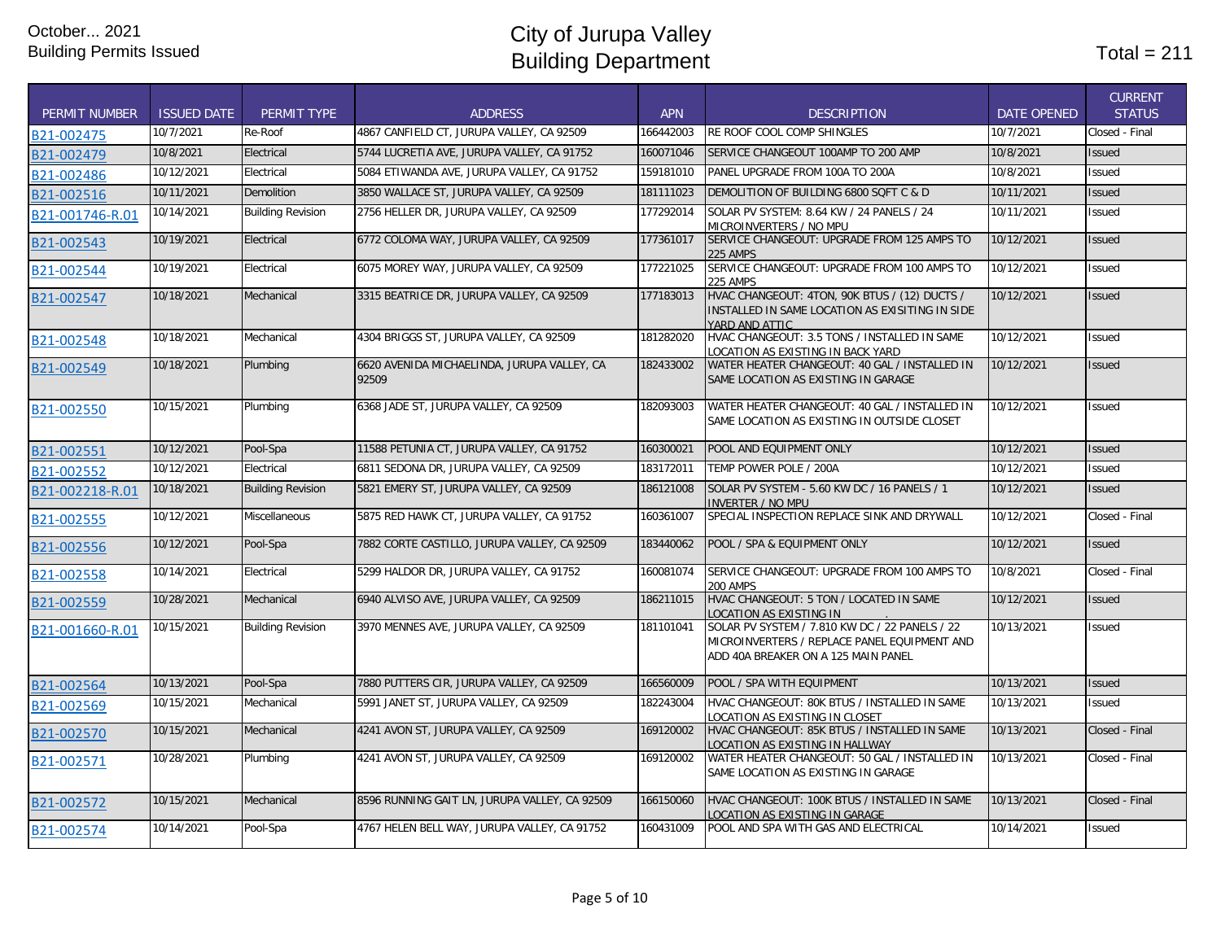| <b>PERMIT NUMBER</b> | <b>ISSUED DATE</b> | <b>PERMIT TYPE</b>       | <b>ADDRESS</b>                                       | <b>APN</b> | <b>DESCRIPTION</b>                                                                                                                    | <b>DATE OPENED</b> | <b>CURRENT</b><br><b>STATUS</b> |
|----------------------|--------------------|--------------------------|------------------------------------------------------|------------|---------------------------------------------------------------------------------------------------------------------------------------|--------------------|---------------------------------|
| B21-002475           | 10/7/2021          | Re-Roof                  | 4867 CANFIELD CT, JURUPA VALLEY, CA 92509            | 166442003  | <b>RE ROOF COOL COMP SHINGLES</b>                                                                                                     | 10/7/2021          | Closed - Final                  |
| B21-002479           | 10/8/2021          | Electrical               | 5744 LUCRETIA AVE, JURUPA VALLEY, CA 91752           | 160071046  | SERVICE CHANGEOUT 100AMP TO 200 AMP                                                                                                   | 10/8/2021          | Issued                          |
| B21-002486           | 10/12/2021         | Electrical               | 5084 ETIWANDA AVE, JURUPA VALLEY, CA 91752           | 159181010  | PANEL UPGRADE FROM 100A TO 200A                                                                                                       | 10/8/2021          | Issued                          |
| B21-002516           | 10/11/2021         | <b>Demolition</b>        | 3850 WALLACE ST, JURUPA VALLEY, CA 92509             | 181111023  | DEMOLITION OF BUILDING 6800 SOFT C & D                                                                                                | 10/11/2021         | <b>Issued</b>                   |
| B21-001746-R.01      | 10/14/2021         | <b>Building Revision</b> | 2756 HELLER DR, JURUPA VALLEY, CA 92509              | 177292014  | SOLAR PV SYSTEM: 8.64 KW / 24 PANELS / 24<br>MICROINVERTERS / NO MPU                                                                  | 10/11/2021         | Issued                          |
| B21-002543           | 10/19/2021         | Electrical               | 6772 COLOMA WAY, JURUPA VALLEY, CA 92509             | 177361017  | SERVICE CHANGEOUT: UPGRADE FROM 125 AMPS TO<br><b>225 AMPS</b>                                                                        | 10/12/2021         | <b>Issued</b>                   |
| B21-002544           | 10/19/2021         | Electrical               | 6075 MOREY WAY, JURUPA VALLEY, CA 92509              | 177221025  | SERVICE CHANGEOUT: UPGRADE FROM 100 AMPS TO<br><b>225 AMPS</b>                                                                        | 10/12/2021         | Issued                          |
| B21-002547           | 10/18/2021         | Mechanical               | 3315 BEATRICE DR, JURUPA VALLEY, CA 92509            | 177183013  | HVAC CHANGEOUT: 4TON, 90K BTUS / (12) DUCTS /<br>INSTALLED IN SAME LOCATION AS EXISITING IN SIDE<br>YARD AND ATTIC                    | 10/12/2021         | Issued                          |
| B21-002548           | 10/18/2021         | Mechanical               | 4304 BRIGGS ST, JURUPA VALLEY, CA 92509              | 181282020  | HVAC CHANGEOUT: 3.5 TONS / INSTALLED IN SAME<br>LOCATION AS EXISTING IN BACK YARD                                                     | 10/12/2021         | Issued                          |
| B21-002549           | 10/18/2021         | Plumbing                 | 6620 AVENIDA MICHAELINDA, JURUPA VALLEY, CA<br>92509 | 182433002  | WATER HEATER CHANGEOUT: 40 GAL / INSTALLED IN<br>SAME LOCATION AS EXISTING IN GARAGE                                                  | 10/12/2021         | Issued                          |
| B21-002550           | 10/15/2021         | Plumbing                 | 6368 JADE ST, JURUPA VALLEY, CA 92509                | 182093003  | WATER HEATER CHANGEOUT: 40 GAL / INSTALLED IN<br>SAME LOCATION AS EXISTING IN OUTSIDE CLOSET                                          | 10/12/2021         | Issued                          |
| B21-002551           | 10/12/2021         | Pool-Spa                 | 11588 PETUNIA CT, JURUPA VALLEY, CA 91752            | 160300021  | POOL AND EQUIPMENT ONLY                                                                                                               | 10/12/2021         | <b>Issued</b>                   |
| B21-002552           | 10/12/2021         | Electrical               | 6811 SEDONA DR, JURUPA VALLEY, CA 92509              | 183172011  | TEMP POWER POLE / 200A                                                                                                                | 10/12/2021         | <b>Issued</b>                   |
| B21-002218-R.01      | 10/18/2021         | <b>Building Revision</b> | 5821 EMERY ST, JURUPA VALLEY, CA 92509               | 186121008  | SOLAR PV SYSTEM - 5.60 KW DC / 16 PANELS / 1<br>INVERTER / NO MPU                                                                     | 10/12/2021         | Issued                          |
| B21-002555           | 10/12/2021         | Miscellaneous            | 5875 RED HAWK CT, JURUPA VALLEY, CA 91752            | 160361007  | SPECIAL INSPECTION REPLACE SINK AND DRYWALL                                                                                           | 10/12/2021         | Closed - Final                  |
| B21-002556           | 10/12/2021         | Pool-Spa                 | 7882 CORTE CASTILLO, JURUPA VALLEY, CA 92509         | 183440062  | POOL / SPA & EQUIPMENT ONLY                                                                                                           | 10/12/2021         | <b>Issued</b>                   |
| B21-002558           | 10/14/2021         | Electrical               | 5299 HALDOR DR, JURUPA VALLEY, CA 91752              | 160081074  | SERVICE CHANGEOUT: UPGRADE FROM 100 AMPS TO<br><b>200 AMPS</b>                                                                        | 10/8/2021          | Closed - Final                  |
| B21-002559           | 10/28/2021         | Mechanical               | 6940 ALVISO AVE, JURUPA VALLEY, CA 92509             | 186211015  | HVAC CHANGEOUT: 5 TON / LOCATED IN SAME<br>LOCATION AS EXISTING IN                                                                    | 10/12/2021         | Issued                          |
| B21-001660-R.01      | 10/15/2021         | <b>Building Revision</b> | 3970 MENNES AVE, JURUPA VALLEY, CA 92509             | 181101041  | SOLAR PV SYSTEM / 7.810 KW DC / 22 PANELS / 22<br>MICROINVERTERS / REPLACE PANEL EQUIPMENT AND<br>ADD 40A BREAKER ON A 125 MAIN PANEL | 10/13/2021         | Issued                          |
| B21-002564           | 10/13/2021         | Pool-Spa                 | 7880 PUTTERS CIR, JURUPA VALLEY, CA 92509            | 166560009  | POOL / SPA WITH EQUIPMENT                                                                                                             | 10/13/2021         | <b>Issued</b>                   |
| B21-002569           | 10/15/2021         | Mechanical               | 5991 JANET ST. JURUPA VALLEY. CA 92509               | 182243004  | HVAC CHANGEOUT: 80K BTUS / INSTALLED IN SAME<br>LOCATION AS EXISTING IN CLOSET                                                        | 10/13/2021         | Issued                          |
| B21-002570           | 10/15/2021         | Mechanical               | 4241 AVON ST, JURUPA VALLEY, CA 92509                | 169120002  | HVAC CHANGEOUT: 85K BTUS / INSTALLED IN SAME<br>LOCATION AS EXISTING IN HALLWAY                                                       | 10/13/2021         | Closed - Final                  |
| B21-002571           | 10/28/2021         | Plumbing                 | 4241 AVON ST, JURUPA VALLEY, CA 92509                | 169120002  | WATER HEATER CHANGEOUT: 50 GAL / INSTALLED IN<br>SAME LOCATION AS EXISTING IN GARAGE                                                  | 10/13/2021         | Closed - Final                  |
| B21-002572           | 10/15/2021         | Mechanical               | 8596 RUNNING GAIT LN, JURUPA VALLEY, CA 92509        | 166150060  | HVAC CHANGEOUT: 100K BTUS / INSTALLED IN SAME<br>LOCATION AS EXISTING IN GARAGE                                                       | 10/13/2021         | Closed - Final                  |
| B21-002574           | 10/14/2021         | Pool-Spa                 | 4767 HELEN BELL WAY, JURUPA VALLEY, CA 91752         | 160431009  | POOL AND SPA WITH GAS AND ELECTRICAL                                                                                                  | 10/14/2021         | <b>Issued</b>                   |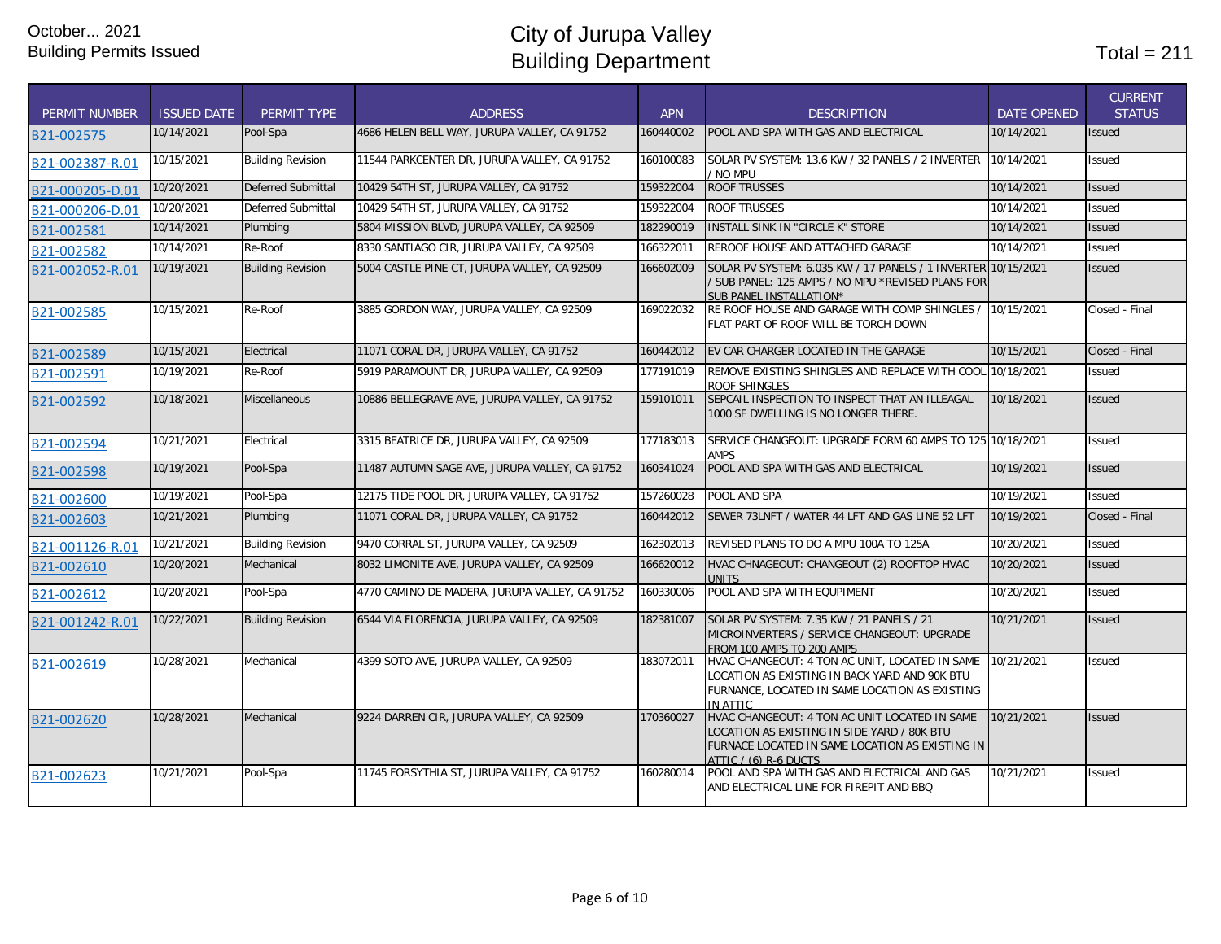| <b>PERMIT NUMBER</b> | <b>ISSUED DATE</b> | PERMIT TYPE               | <b>ADDRESS</b>                                 | <b>APN</b> | <b>DESCRIPTION</b>                                                                                                                                                       | <b>DATE OPENED</b> | <b>CURRENT</b><br><b>STATUS</b> |
|----------------------|--------------------|---------------------------|------------------------------------------------|------------|--------------------------------------------------------------------------------------------------------------------------------------------------------------------------|--------------------|---------------------------------|
| B21-002575           | 10/14/2021         | Pool-Spa                  | 4686 HELEN BELL WAY, JURUPA VALLEY, CA 91752   | 160440002  | POOL AND SPA WITH GAS AND ELECTRICAL                                                                                                                                     | 10/14/2021         | Issued                          |
| B21-002387-R.01      | 10/15/2021         | <b>Building Revision</b>  | 11544 PARKCENTER DR, JURUPA VALLEY, CA 91752   | 160100083  | SOLAR PV SYSTEM: 13.6 KW / 32 PANELS / 2 INVERTER<br>/ No mpu                                                                                                            | 10/14/2021         | Issued                          |
| B21-000205-D.01      | 10/20/2021         | <b>Deferred Submittal</b> | 10429 54TH ST, JURUPA VALLEY, CA 91752         | 159322004  | <b>ROOF TRUSSES</b>                                                                                                                                                      | 10/14/2021         | Issued                          |
| B21-000206-D.01      | 10/20/2021         | Deferred Submittal        | 10429 54TH ST. JURUPA VALLEY. CA 91752         | 159322004  | <b>ROOF TRUSSES</b>                                                                                                                                                      | 10/14/2021         | <b>Issued</b>                   |
| B21-002581           | 10/14/2021         | Plumbing                  | 5804 MISSION BLVD, JURUPA VALLEY, CA 92509     | 182290019  | <b>INSTALL SINK IN "CIRCLE K" STORE</b>                                                                                                                                  | 10/14/2021         | Issued                          |
| B21-002582           | 10/14/2021         | Re-Roof                   | 8330 SANTIAGO CIR, JURUPA VALLEY, CA 92509     | 166322011  | REROOF HOUSE AND ATTACHED GARAGE                                                                                                                                         | 10/14/2021         | Issued                          |
| B21-002052-R.01      | 10/19/2021         | <b>Building Revision</b>  | 5004 CASTLE PINE CT, JURUPA VALLEY, CA 92509   | 166602009  | SOLAR PV SYSTEM: 6.035 KW / 17 PANELS / 1 INVERTER 10/15/2021<br>/ SUB PANEL: 125 AMPS / NO MPU *REVISED PLANS FOR<br>SUB PANEL INSTALLATION*                            |                    | <b>Issued</b>                   |
| B21-002585           | 10/15/2021         | Re-Roof                   | 3885 GORDON WAY, JURUPA VALLEY, CA 92509       | 169022032  | RE ROOF HOUSE AND GARAGE WITH COMP SHINGLES /<br>FLAT PART OF ROOF WILL BE TORCH DOWN                                                                                    | 10/15/2021         | Closed - Final                  |
| B21-002589           | 10/15/2021         | Electrical                | 11071 CORAL DR, JURUPA VALLEY, CA 91752        | 160442012  | EV CAR CHARGER LOCATED IN THE GARAGE                                                                                                                                     | 10/15/2021         | Closed - Final                  |
| B21-002591           | 10/19/2021         | Re-Roof                   | 5919 PARAMOUNT DR, JURUPA VALLEY, CA 92509     | 177191019  | REMOVE EXISTING SHINGLES AND REPLACE WITH COOL 10/18/2021<br>ROOF SHINGLES                                                                                               |                    | Issued                          |
| B21-002592           | 10/18/2021         | Miscellaneous             | 10886 BELLEGRAVE AVE, JURUPA VALLEY, CA 91752  | 159101011  | SEPCAIL INSPECTION TO INSPECT THAT AN ILLEAGAL<br>1000 SF DWELLING IS NO LONGER THERE.                                                                                   | 10/18/2021         | <b>Issued</b>                   |
| B21-002594           | 10/21/2021         | Electrical                | 3315 BEATRICE DR, JURUPA VALLEY, CA 92509      | 177183013  | SERVICE CHANGEOUT: UPGRADE FORM 60 AMPS TO 125 10/18/2021<br><b>AMPS</b>                                                                                                 |                    | Issued                          |
| B21-002598           | 10/19/2021         | Pool-Spa                  | 11487 AUTUMN SAGE AVE, JURUPA VALLEY, CA 91752 | 160341024  | POOL AND SPA WITH GAS AND ELECTRICAL                                                                                                                                     | 10/19/2021         | <b>Issued</b>                   |
| B21-002600           | 10/19/2021         | Pool-Spa                  | 12175 TIDE POOL DR, JURUPA VALLEY, CA 91752    | 157260028  | POOL AND SPA                                                                                                                                                             | 10/19/2021         | Issued                          |
| B21-002603           | 10/21/2021         | Plumbing                  | 11071 CORAL DR, JURUPA VALLEY, CA 91752        | 160442012  | SEWER 73LNFT / WATER 44 LFT AND GAS LINE 52 LFT                                                                                                                          | 10/19/2021         | Closed - Final                  |
| B21-001126-R.01      | 10/21/2021         | <b>Building Revision</b>  | 9470 CORRAL ST, JURUPA VALLEY, CA 92509        | 162302013  | REVISED PLANS TO DO A MPU 100A TO 125A                                                                                                                                   | 10/20/2021         | Issued                          |
| B21-002610           | 10/20/2021         | Mechanical                | 8032 LIMONITE AVE, JURUPA VALLEY, CA 92509     | 166620012  | HVAC CHNAGEOUT: CHANGEOUT (2) ROOFTOP HVAC<br>UNITS                                                                                                                      | 10/20/2021         | <b>Issued</b>                   |
| B21-002612           | 10/20/2021         | Pool-Spa                  | 4770 CAMINO DE MADERA, JURUPA VALLEY, CA 91752 | 160330006  | POOL AND SPA WITH EQUPIMENT                                                                                                                                              | 10/20/2021         | Issued                          |
| B21-001242-R.01      | 10/22/2021         | <b>Building Revision</b>  | 6544 VIA FLORENCIA, JURUPA VALLEY, CA 92509    | 182381007  | SOLAR PV SYSTEM: 7.35 KW / 21 PANELS / 21<br>MICROINVERTERS / SERVICE CHANGEOUT: UPGRADE<br>FROM 100 AMPS TO 200 AMPS                                                    | 10/21/2021         | <b>Issued</b>                   |
| B21-002619           | 10/28/2021         | Mechanical                | 4399 SOTO AVE, JURUPA VALLEY, CA 92509         | 183072011  | HVAC CHANGEOUT: 4 TON AC UNIT, LOCATED IN SAME<br>LOCATION AS EXISTING IN BACK YARD AND 90K BTU<br>FURNANCE, LOCATED IN SAME LOCATION AS EXISTING<br>IN ATTIC            | 10/21/2021         | <b>Issued</b>                   |
| B21-002620           | 10/28/2021         | Mechanical                | 9224 DARREN CIR, JURUPA VALLEY, CA 92509       | 170360027  | HVAC CHANGEOUT: 4 TON AC UNIT LOCATED IN SAME<br>LOCATION AS EXISTING IN SIDE YARD / 80K BTU<br>FURNACE LOCATED IN SAME LOCATION AS EXISTING IN<br>ATTIC / (6) R-6 DUCTS | 10/21/2021         | Issued                          |
| B21-002623           | 10/21/2021         | Pool-Spa                  | 11745 FORSYTHIA ST, JURUPA VALLEY, CA 91752    | 160280014  | POOL AND SPA WITH GAS AND ELECTRICAL AND GAS<br>AND ELECTRICAL LINE FOR FIREPIT AND BBQ                                                                                  | 10/21/2021         | Issued                          |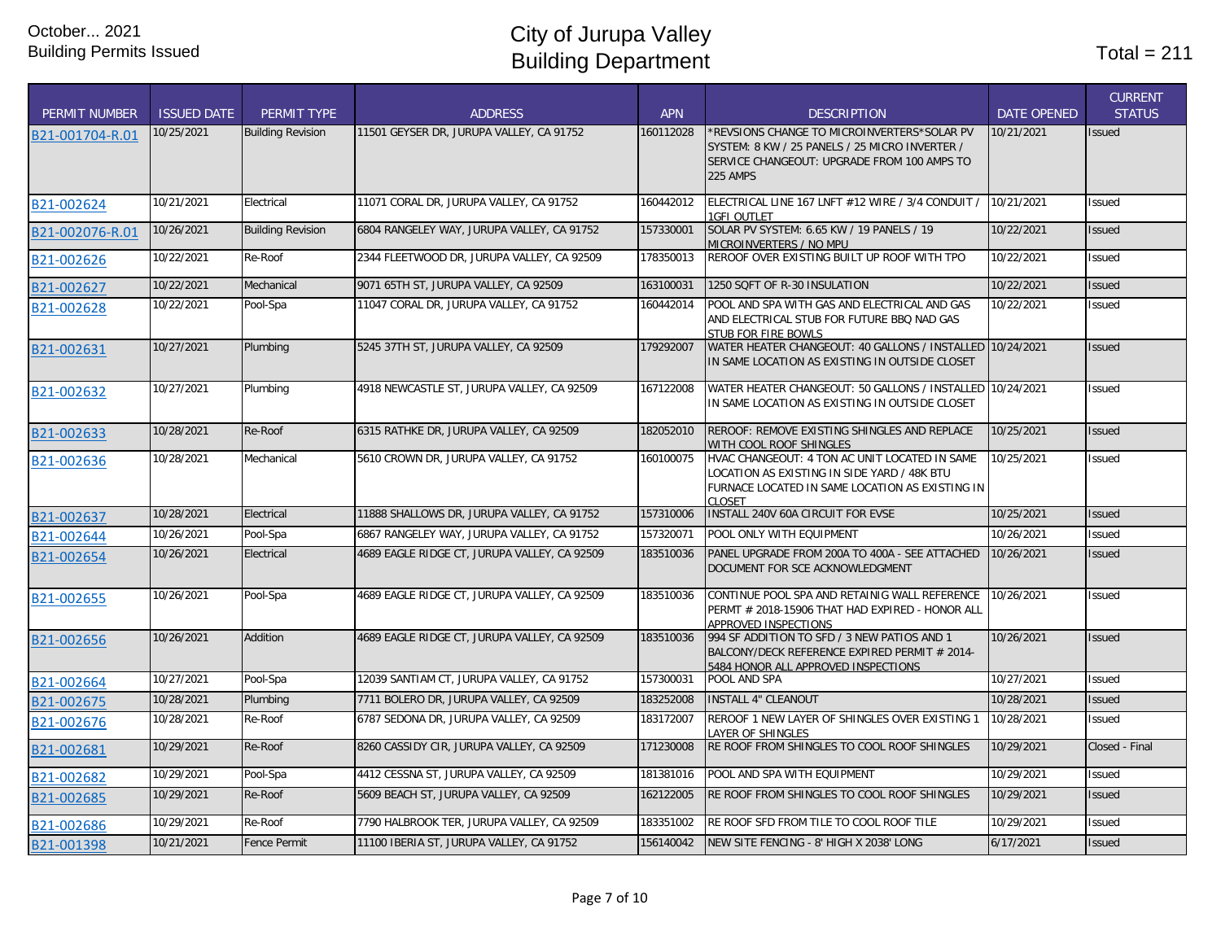| <b>PERMIT NUMBER</b> | <b>ISSUED DATE</b> | <b>PERMIT TYPE</b>       | <b>ADDRESS</b>                               | <b>APN</b> | <b>DESCRIPTION</b>                                                                                                                                        | <b>DATE OPENED</b> | <b>CURRENT</b><br><b>STATUS</b> |
|----------------------|--------------------|--------------------------|----------------------------------------------|------------|-----------------------------------------------------------------------------------------------------------------------------------------------------------|--------------------|---------------------------------|
| B21-001704-R.01      | 10/25/2021         | <b>Building Revision</b> | 11501 GEYSER DR, JURUPA VALLEY, CA 91752     | 160112028  | *REVSIONS CHANGE TO MICROINVERTERS*SOLAR PV<br>SYSTEM: 8 KW / 25 PANELS / 25 MICRO INVERTER /<br>SERVICE CHANGEOUT: UPGRADE FROM 100 AMPS TO<br>225 AMPS  | 10/21/2021         | <b>Issued</b>                   |
| B21-002624           | 10/21/2021         | Electrical               | 11071 CORAL DR, JURUPA VALLEY, CA 91752      | 160442012  | ELECTRICAL LINE 167 LNFT #12 WIRE / 3/4 CONDUIT /<br><b>1GFI OUTLET</b>                                                                                   | 10/21/2021         | <b>Issued</b>                   |
| B21-002076-R.01      | 10/26/2021         | <b>Building Revision</b> | 6804 RANGELEY WAY, JURUPA VALLEY, CA 91752   | 157330001  | SOLAR PV SYSTEM: 6.65 KW / 19 PANELS / 19<br>MICROINVERTERS / NO MPU                                                                                      | 10/22/2021         | <b>Issued</b>                   |
| B21-002626           | 10/22/2021         | Re-Roof                  | 2344 FLEETWOOD DR, JURUPA VALLEY, CA 92509   | 178350013  | REROOF OVER EXISTING BUILT UP ROOF WITH TPO                                                                                                               | 10/22/2021         | <b>Issued</b>                   |
| B21-002627           | 10/22/2021         | Mechanical               | 9071 65TH ST, JURUPA VALLEY, CA 92509        | 163100031  | 1250 SQFT OF R-30 INSULATION                                                                                                                              | 10/22/2021         | <b>Issued</b>                   |
| B21-002628           | 10/22/2021         | Pool-Spa                 | 11047 CORAL DR, JURUPA VALLEY, CA 91752      | 160442014  | POOL AND SPA WITH GAS AND ELECTRICAL AND GAS<br>AND ELECTRICAL STUB FOR FUTURE BBQ NAD GAS<br>STUB FOR FIRE BOWLS                                         | 10/22/2021         | <b>Issued</b>                   |
| B21-002631           | 10/27/2021         | Plumbing                 | 5245 37TH ST, JURUPA VALLEY, CA 92509        | 179292007  | WATER HEATER CHANGEOUT: 40 GALLONS / INSTALLED 10/24/2021<br>IN SAME LOCATION AS EXISTING IN OUTSIDE CLOSET                                               |                    | <b>Issued</b>                   |
| B21-002632           | 10/27/2021         | Plumbing                 | 4918 NEWCASTLE ST, JURUPA VALLEY, CA 92509   | 167122008  | WATER HEATER CHANGEOUT: 50 GALLONS / INSTALLED 10/24/2021<br>IN SAME LOCATION AS EXISTING IN OUTSIDE CLOSET                                               |                    | <b>Issued</b>                   |
| B21-002633           | 10/28/2021         | Re-Roof                  | 6315 RATHKE DR, JURUPA VALLEY, CA 92509      | 182052010  | REROOF: REMOVE EXISTING SHINGLES AND REPLACE<br>WITH COOL ROOF SHINGLES                                                                                   | 10/25/2021         | <b>Issued</b>                   |
| B21-002636           | 10/28/2021         | Mechanical               | 5610 CROWN DR, JURUPA VALLEY, CA 91752       | 160100075  | HVAC CHANGEOUT: 4 TON AC UNIT LOCATED IN SAME<br>LOCATION AS EXISTING IN SIDE YARD / 48K BTU<br>FURNACE LOCATED IN SAME LOCATION AS EXISTING IN<br>CLOSET | 10/25/2021         | Issued                          |
| B21-002637           | 10/28/2021         | Electrical               | 11888 SHALLOWS DR, JURUPA VALLEY, CA 91752   | 157310006  | INSTALL 240V 60A CIRCUIT FOR EVSE                                                                                                                         | 10/25/2021         | <b>Issued</b>                   |
| B21-002644           | 10/26/2021         | Pool-Spa                 | 6867 RANGELEY WAY, JURUPA VALLEY, CA 91752   | 157320071  | POOL ONLY WITH EQUIPMENT                                                                                                                                  | 10/26/2021         | Issued                          |
| B21-002654           | 10/26/2021         | Electrical               | 4689 EAGLE RIDGE CT, JURUPA VALLEY, CA 92509 | 183510036  | PANEL UPGRADE FROM 200A TO 400A - SEE ATTACHED<br>DOCUMENT FOR SCE ACKNOWLEDGMENT                                                                         | 10/26/2021         | <b>Issued</b>                   |
| B21-002655           | 10/26/2021         | Pool-Spa                 | 4689 EAGLE RIDGE CT, JURUPA VALLEY, CA 92509 | 183510036  | CONTINUE POOL SPA AND RETAINIG WALL REFERENCE<br>PERMT # 2018-15906 THAT HAD EXPIRED - HONOR ALL<br>APPROVED INSPECTIONS                                  | 10/26/2021         | <b>Issued</b>                   |
| B21-002656           | 10/26/2021         | Addition                 | 4689 EAGLE RIDGE CT, JURUPA VALLEY, CA 92509 | 183510036  | 994 SF ADDITION TO SFD / 3 NEW PATIOS AND 1<br>BALCONY/DECK REFERENCE EXPIRED PERMIT # 2014-<br>5484 HONOR ALL APPROVED INSPECTIONS                       | 10/26/2021         | <b>Issued</b>                   |
| B21-002664           | 10/27/2021         | Pool-Spa                 | 12039 SANTIAM CT, JURUPA VALLEY, CA 91752    | 157300031  | POOL AND SPA                                                                                                                                              | 10/27/2021         | <b>Issued</b>                   |
| B21-002675           | 10/28/2021         | Plumbing                 | 7711 BOLERO DR, JURUPA VALLEY, CA 92509      | 183252008  | <b>INSTALL 4" CLEANOUT</b>                                                                                                                                | 10/28/2021         | <b>Issued</b>                   |
| B21-002676           | 10/28/2021         | Re-Roof                  | 6787 SEDONA DR, JURUPA VALLEY, CA 92509      | 183172007  | REROOF 1 NEW LAYER OF SHINGLES OVER EXISTING 1<br><b>LAYER OF SHINGLES</b>                                                                                | 10/28/2021         | <b>Issued</b>                   |
| B21-002681           | 10/29/2021         | Re-Roof                  | 8260 CASSIDY CIR, JURUPA VALLEY, CA 92509    | 171230008  | RE ROOF FROM SHINGLES TO COOL ROOF SHINGLES                                                                                                               | 10/29/2021         | Closed - Final                  |
| B21-002682           | 10/29/2021         | Pool-Spa                 | 4412 CESSNA ST, JURUPA VALLEY, CA 92509      | 181381016  | POOL AND SPA WITH EQUIPMENT                                                                                                                               | 10/29/2021         | <b>Issued</b>                   |
| B21-002685           | 10/29/2021         | Re-Roof                  | 5609 BEACH ST, JURUPA VALLEY, CA 92509       | 162122005  | RE ROOF FROM SHINGLES TO COOL ROOF SHINGLES                                                                                                               | 10/29/2021         | <b>Issued</b>                   |
| B21-002686           | 10/29/2021         | Re-Roof                  | 7790 HALBROOK TER, JURUPA VALLEY, CA 92509   | 183351002  | RE ROOF SFD FROM TILE TO COOL ROOF TILE                                                                                                                   | 10/29/2021         | Issued                          |
| B21-001398           | 10/21/2021         | <b>Fence Permit</b>      | 11100 IBERIA ST, JURUPA VALLEY, CA 91752     | 156140042  | NEW SITE FENCING - 8' HIGH X 2038' LONG                                                                                                                   | 6/17/2021          | <b>Issued</b>                   |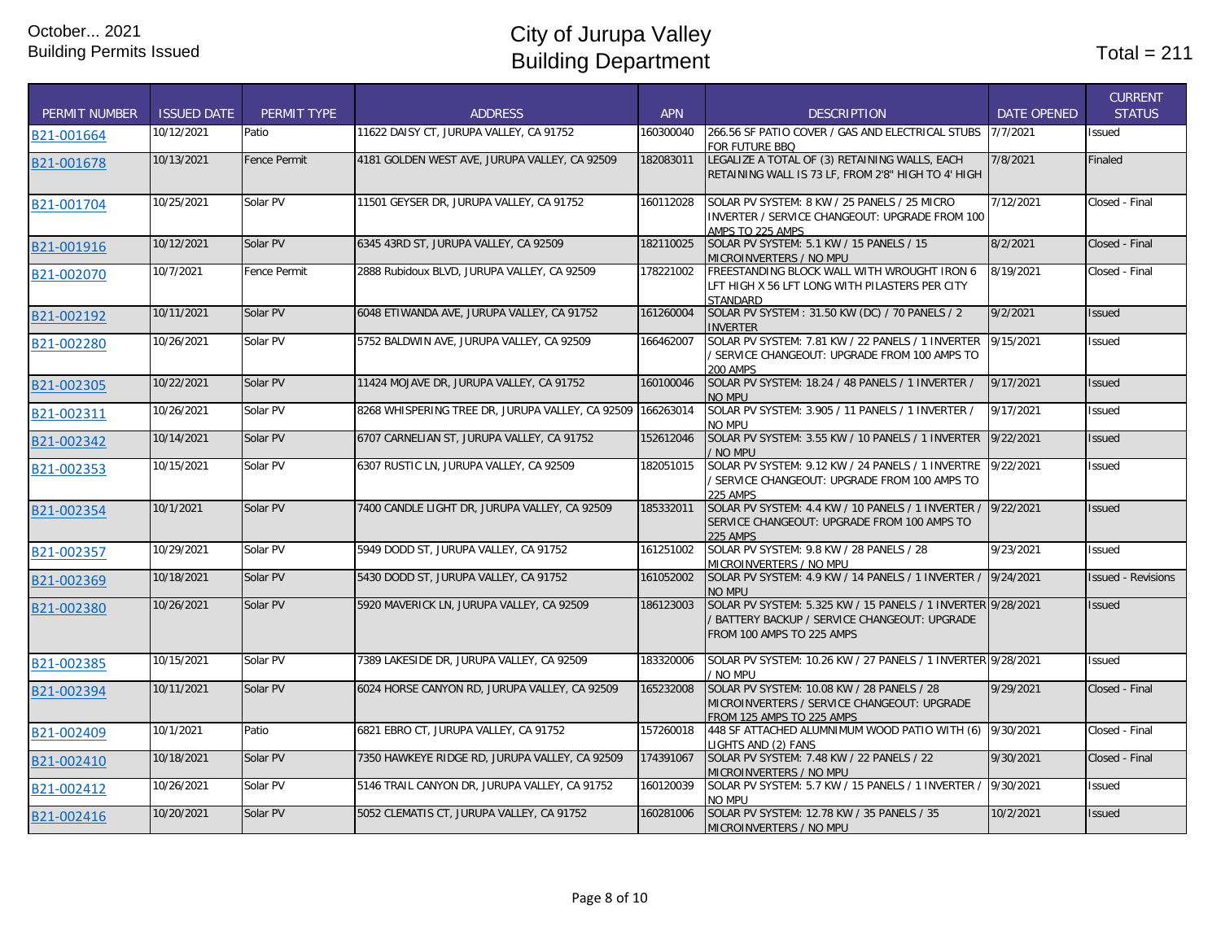| <b>PERMIT NUMBER</b> | <b>ISSUED DATE</b> | PERMIT TYPE         | <b>ADDRESS</b>                                   | <b>APN</b> | <b>DESCRIPTION</b>                                                                                                                         | <b>DATE OPENED</b> | <b>CURRENT</b><br><b>STATUS</b> |
|----------------------|--------------------|---------------------|--------------------------------------------------|------------|--------------------------------------------------------------------------------------------------------------------------------------------|--------------------|---------------------------------|
| B21-001664           | 10/12/2021         | Patio               | 11622 DAISY CT. JURUPA VALLEY. CA 91752          | 160300040  | 266.56 SF PATIO COVER / GAS AND ELECTRICAL STUBS<br>FOR FUTURE BBQ                                                                         | 7/7/2021           | <b>Issued</b>                   |
| B21-001678           | 10/13/2021         | <b>Fence Permit</b> | 4181 GOLDEN WEST AVE, JURUPA VALLEY, CA 92509    | 182083011  | LEGALIZE A TOTAL OF (3) RETAINING WALLS, EACH<br>RETAINING WALL IS 73 LF, FROM 2'8" HIGH TO 4' HIGH                                        | 7/8/2021           | Finaled                         |
| B21-001704           | 10/25/2021         | Solar PV            | 11501 GEYSER DR, JURUPA VALLEY, CA 91752         | 160112028  | SOLAR PV SYSTEM: 8 KW / 25 PANELS / 25 MICRO<br>INVERTER / SERVICE CHANGEOUT: UPGRADE FROM 100<br>AMPS TO 225 AMPS                         | 7/12/2021          | Closed - Final                  |
| B21-001916           | 10/12/2021         | Solar PV            | 6345 43RD ST, JURUPA VALLEY, CA 92509            | 182110025  | SOLAR PV SYSTEM: 5.1 KW / 15 PANELS / 15<br>MICROINVERTERS / NO MPU                                                                        | 8/2/2021           | Closed - Final                  |
| B21-002070           | 10/7/2021          | Fence Permit        | 2888 Rubidoux BLVD, JURUPA VALLEY, CA 92509      | 178221002  | FREESTANDING BLOCK WALL WITH WROUGHT IRON 6<br>LFT HIGH X 56 LFT LONG WITH PILASTERS PER CITY<br>STANDARD                                  | 8/19/2021          | Closed - Final                  |
| B21-002192           | 10/11/2021         | Solar PV            | 6048 ETIWANDA AVE, JURUPA VALLEY, CA 91752       | 161260004  | SOLAR PV SYSTEM: 31.50 KW (DC) / 70 PANELS / 2<br><b>INVERTER</b>                                                                          | 9/2/2021           | <b>Issued</b>                   |
| B21-002280           | 10/26/2021         | Solar PV            | 5752 BALDWIN AVE, JURUPA VALLEY, CA 92509        | 166462007  | SOLAR PV SYSTEM: 7.81 KW / 22 PANELS / 1 INVERTER<br>/ SERVICE CHANGEOUT: UPGRADE FROM 100 AMPS TO<br>200 AMPS                             | 9/15/2021          | Issued                          |
| B21-002305           | 10/22/2021         | Solar PV            | 11424 MOJAVE DR, JURUPA VALLEY, CA 91752         | 160100046  | SOLAR PV SYSTEM: 18.24 / 48 PANELS / 1 INVERTER /<br><b>NO MPU</b>                                                                         | 9/17/2021          | <b>Issued</b>                   |
| B21-002311           | 10/26/2021         | Solar PV            | 8268 WHISPERING TREE DR. JURUPA VALLEY, CA 92509 | 166263014  | SOLAR PV SYSTEM: 3.905 / 11 PANELS / 1 INVERTER /<br>NO MPU                                                                                | 9/17/2021          | <b>Issued</b>                   |
| B21-002342           | 10/14/2021         | Solar PV            | 6707 CARNELIAN ST, JURUPA VALLEY, CA 91752       | 152612046  | SOLAR PV SYSTEM: 3.55 KW / 10 PANELS / 1 INVERTER<br>/ NO MPU                                                                              | 9/22/2021          | <b>Issued</b>                   |
| B21-002353           | 10/15/2021         | Solar PV            | 6307 RUSTIC LN, JURUPA VALLEY, CA 92509          | 182051015  | SOLAR PV SYSTEM: 9.12 KW / 24 PANELS / 1 INVERTRE<br>/ SERVICE CHANGEOUT: UPGRADE FROM 100 AMPS TO<br><b>225 AMPS</b>                      | 9/22/2021          | <b>Issued</b>                   |
| B21-002354           | 10/1/2021          | Solar PV            | 7400 CANDLE LIGHT DR. JURUPA VALLEY, CA 92509    | 185332011  | SOLAR PV SYSTEM: 4.4 KW / 10 PANELS / 1 INVERTER /<br>SERVICE CHANGEOUT: UPGRADE FROM 100 AMPS TO<br><b>225 AMPS</b>                       | 9/22/2021          | <b>Issued</b>                   |
| B21-002357           | 10/29/2021         | Solar PV            | 5949 DODD ST, JURUPA VALLEY, CA 91752            | 161251002  | SOLAR PV SYSTEM: 9.8 KW / 28 PANELS / 28<br>MICROINVERTERS / NO MPU                                                                        | 9/23/2021          | <b>Issued</b>                   |
| B21-002369           | 10/18/2021         | Solar PV            | 5430 DODD ST, JURUPA VALLEY, CA 91752            | 161052002  | SOLAR PV SYSTEM: 4.9 KW / 14 PANELS / 1 INVERTER /<br>NO MPU                                                                               | 9/24/2021          | <b>Issued - Revisions</b>       |
| B21-002380           | 10/26/2021         | Solar PV            | 5920 MAVERICK LN, JURUPA VALLEY, CA 92509        | 186123003  | SOLAR PV SYSTEM: 5.325 KW / 15 PANELS / 1 INVERTER 9/28/2021<br>/ BATTERY BACKUP / SERVICE CHANGEOUT: UPGRADE<br>FROM 100 AMPS TO 225 AMPS |                    | <b>Issued</b>                   |
| B21-002385           | 10/15/2021         | Solar PV            | 7389 LAKESIDE DR, JURUPA VALLEY, CA 92509        | 183320006  | SOLAR PV SYSTEM: 10.26 KW / 27 PANELS / 1 INVERTER 9/28/2021<br>/ NO MPU                                                                   |                    | <b>Issued</b>                   |
| B21-002394           | 10/11/2021         | Solar PV            | 6024 HORSE CANYON RD. JURUPA VALLEY, CA 92509    | 165232008  | SOLAR PV SYSTEM: 10.08 KW / 28 PANELS / 28<br>MICROINVERTERS / SERVICE CHANGEOUT: UPGRADE<br>FROM 125 AMPS TO 225 AMPS                     | 9/29/2021          | Closed - Final                  |
| B21-002409           | 10/1/2021          | Patio               | 6821 EBRO CT, JURUPA VALLEY, CA 91752            | 157260018  | 448 SF ATTACHED ALUMNIMUM WOOD PATIO WITH (6)<br>LIGHTS AND (2) FANS                                                                       | 9/30/2021          | Closed - Final                  |
| B21-002410           | 10/18/2021         | Solar PV            | 7350 HAWKEYE RIDGE RD, JURUPA VALLEY, CA 92509   | 174391067  | SOLAR PV SYSTEM: 7.48 KW / 22 PANELS / 22<br>MICROINVERTERS / NO MPU                                                                       | 9/30/2021          | Closed - Final                  |
| B21-002412           | 10/26/2021         | Solar PV            | 5146 TRAIL CANYON DR. JURUPA VALLEY, CA 91752    | 160120039  | SOLAR PV SYSTEM: 5.7 KW / 15 PANELS / 1 INVERTER /<br>NO MPU                                                                               | 9/30/2021          | <b>Issued</b>                   |
| B21-002416           | 10/20/2021         | Solar PV            | 5052 CLEMATIS CT, JURUPA VALLEY, CA 91752        | 160281006  | SOLAR PV SYSTEM: 12.78 KW / 35 PANELS / 35<br>MICROINVERTERS / NO MPU                                                                      | 10/2/2021          | <b>Issued</b>                   |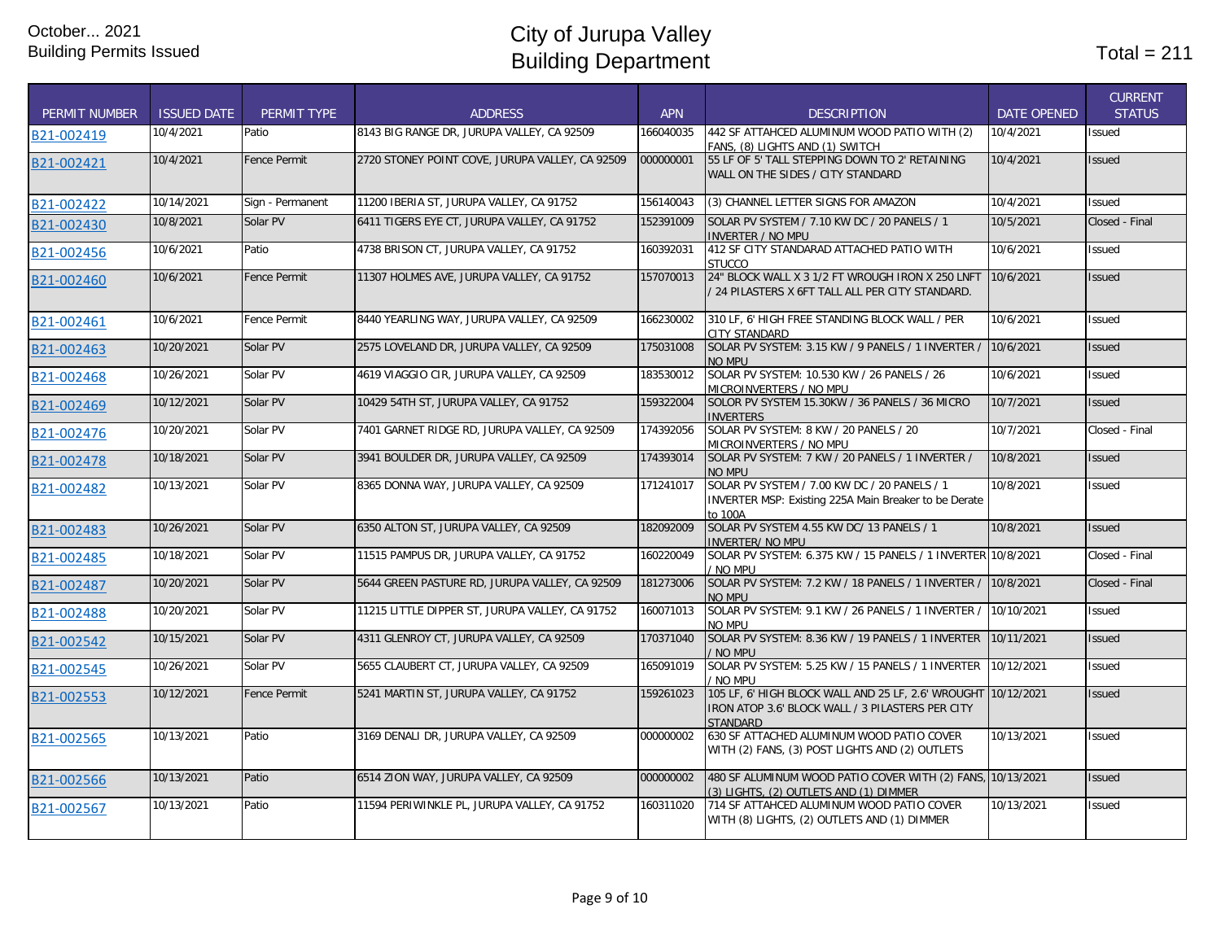| <b>PERMIT NUMBER</b> | <b>ISSUED DATE</b> | PERMIT TYPE         | <b>ADDRESS</b>                                  | <b>APN</b> | <b>DESCRIPTION</b>                                                                                                                   | <b>DATE OPENED</b> | <b>CURRENT</b><br><b>STATUS</b> |
|----------------------|--------------------|---------------------|-------------------------------------------------|------------|--------------------------------------------------------------------------------------------------------------------------------------|--------------------|---------------------------------|
| B21-002419           | 10/4/2021          | Patio               | 8143 BIG RANGE DR. JURUPA VALLEY. CA 92509      | 166040035  | 442 SF ATTAHCED ALUMINUM WOOD PATIO WITH (2)<br>FANS. (8) LIGHTS AND (1) SWITCH                                                      | 10/4/2021          | Issued                          |
| B21-002421           | 10/4/2021          | <b>Fence Permit</b> | 2720 STONEY POINT COVE, JURUPA VALLEY, CA 92509 | 000000001  | 55 LF OF 5' TALL STEPPING DOWN TO 2' RETAINING<br>WALL ON THE SIDES / CITY STANDARD                                                  | 10/4/2021          | <b>Issued</b>                   |
| B21-002422           | 10/14/2021         | Sign - Permanent    | 11200 IBERIA ST, JURUPA VALLEY, CA 91752        | 156140043  | (3) CHANNEL LETTER SIGNS FOR AMAZON                                                                                                  | 10/4/2021          | Issued                          |
| B21-002430           | 10/8/2021          | Solar PV            | 6411 TIGERS EYE CT, JURUPA VALLEY, CA 91752     | 152391009  | SOLAR PV SYSTEM / 7.10 KW DC / 20 PANELS / 1<br><b>INVERTER / NO MPU</b>                                                             | 10/5/2021          | Closed - Final                  |
| B21-002456           | 10/6/2021          | Patio               | 4738 BRISON CT, JURUPA VALLEY, CA 91752         | 160392031  | 412 SF CITY STANDARAD ATTACHED PATIO WITH<br><b>STUCCO</b>                                                                           | 10/6/2021          | Issued                          |
| B21-002460           | 10/6/2021          | <b>Fence Permit</b> | 11307 HOLMES AVE, JURUPA VALLEY, CA 91752       | 157070013  | 24" BLOCK WALL X 3 1/2 FT WROUGH IRON X 250 LNFT<br>/ 24 PILASTERS X 6FT TALL ALL PER CITY STANDARD.                                 | 10/6/2021          | <b>Issued</b>                   |
| B21-002461           | 10/6/2021          | Fence Permit        | 8440 YEARLING WAY, JURUPA VALLEY, CA 92509      | 166230002  | 310 LF, 6' HIGH FREE STANDING BLOCK WALL / PER<br><b>CITY STANDARD</b>                                                               | 10/6/2021          | Issued                          |
| B21-002463           | 10/20/2021         | Solar PV            | 2575 LOVELAND DR, JURUPA VALLEY, CA 92509       | 175031008  | SOLAR PV SYSTEM: 3.15 KW / 9 PANELS / 1 INVERTER /<br>NO MPU                                                                         | 10/6/2021          | Issued                          |
| B21-002468           | 10/26/2021         | Solar PV            | 4619 VIAGGIO CIR, JURUPA VALLEY, CA 92509       | 183530012  | SOLAR PV SYSTEM: 10.530 KW / 26 PANELS / 26<br>MICROINVERTERS / NO MPU                                                               | 10/6/2021          | Issued                          |
| B21-002469           | 10/12/2021         | Solar PV            | 10429 54TH ST, JURUPA VALLEY, CA 91752          | 159322004  | SOLOR PV SYSTEM 15.30KW / 36 PANELS / 36 MICRO<br><b>INVERTERS</b>                                                                   | 10/7/2021          | Issued                          |
| B21-002476           | 10/20/2021         | Solar PV            | 7401 GARNET RIDGE RD, JURUPA VALLEY, CA 92509   | 174392056  | SOLAR PV SYSTEM: 8 KW / 20 PANELS / 20<br>MICROINVERTERS / NO MPU                                                                    | 10/7/2021          | Closed - Final                  |
| B21-002478           | 10/18/2021         | Solar PV            | 3941 BOULDER DR, JURUPA VALLEY, CA 92509        | 174393014  | SOLAR PV SYSTEM: 7 KW / 20 PANELS / 1 INVERTER /<br>NO MPU                                                                           | 10/8/2021          | Issued                          |
| B21-002482           | 10/13/2021         | Solar PV            | 8365 DONNA WAY, JURUPA VALLEY, CA 92509         | 171241017  | SOLAR PV SYSTEM / 7.00 KW DC / 20 PANELS / 1<br>INVERTER MSP: Existing 225A Main Breaker to be Derate<br>to 100A                     | 10/8/2021          | Issued                          |
| B21-002483           | 10/26/2021         | Solar PV            | 6350 ALTON ST, JURUPA VALLEY, CA 92509          | 182092009  | SOLAR PV SYSTEM 4.55 KW DC/ 13 PANELS / 1<br><b>INVERTER/ NO MPU</b>                                                                 | 10/8/2021          | <b>Issued</b>                   |
| B21-002485           | 10/18/2021         | Solar PV            | 11515 PAMPUS DR, JURUPA VALLEY, CA 91752        | 160220049  | SOLAR PV SYSTEM: 6.375 KW / 15 PANELS / 1 INVERTER 10/8/2021<br>/ No mpu                                                             |                    | Closed - Final                  |
| B21-002487           | 10/20/2021         | Solar PV            | 5644 GREEN PASTURE RD, JURUPA VALLEY, CA 92509  | 181273006  | SOLAR PV SYSTEM: 7.2 KW / 18 PANELS / 1 INVERTER /<br>NO MPU                                                                         | 10/8/2021          | Closed - Final                  |
| B21-002488           | 10/20/2021         | Solar PV            | 11215 LITTLE DIPPER ST, JURUPA VALLEY, CA 91752 | 160071013  | SOLAR PV SYSTEM: 9.1 KW / 26 PANELS / 1 INVERTER / 10/10/2021<br>NO MPU                                                              |                    | <b>Issued</b>                   |
| B21-002542           | 10/15/2021         | Solar PV            | 4311 GLENROY CT, JURUPA VALLEY, CA 92509        | 170371040  | SOLAR PV SYSTEM: 8.36 KW / 19 PANELS / 1 INVERTER<br>/ NO MPU                                                                        | 10/11/2021         | <b>Issued</b>                   |
| B21-002545           | 10/26/2021         | Solar PV            | 5655 CLAUBERT CT, JURUPA VALLEY, CA 92509       | 165091019  | SOLAR PV SYSTEM: 5.25 KW / 15 PANELS / 1 INVERTER<br>/ No mpu                                                                        | 10/12/2021         | Issued                          |
| B21-002553           | 10/12/2021         | Fence Permit        | 5241 MARTIN ST, JURUPA VALLEY, CA 91752         | 159261023  | 105 LF, 6' HIGH BLOCK WALL AND 25 LF, 2.6' WROUGHT 10/12/2021<br>IRON ATOP 3.6' BLOCK WALL / 3 PILASTERS PER CITY<br><b>STANDARD</b> |                    | Issued                          |
| B21-002565           | 10/13/2021         | Patio               | 3169 DENALI DR, JURUPA VALLEY, CA 92509         | 000000002  | 630 SF ATTACHED ALUMINUM WOOD PATIO COVER<br>WITH (2) FANS, (3) POST LIGHTS AND (2) OUTLETS                                          | 10/13/2021         | Issued                          |
| B21-002566           | 10/13/2021         | Patio               | 6514 ZION WAY, JURUPA VALLEY, CA 92509          | 000000002  | 480 SF ALUMINUM WOOD PATIO COVER WITH (2) FANS, 10/13/2021<br>(3) LIGHTS, (2) OUTLETS AND (1) DIMMER                                 |                    | <b>Issued</b>                   |
| B21-002567           | 10/13/2021         | Patio               | 11594 PERIWINKLE PL, JURUPA VALLEY, CA 91752    | 160311020  | 714 SF ATTAHCED ALUMINUM WOOD PATIO COVER<br>WITH (8) LIGHTS, (2) OUTLETS AND (1) DIMMER                                             | 10/13/2021         | Issued                          |